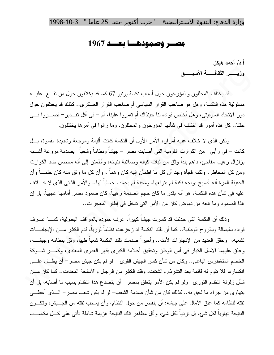## وزارة الدفاع: الندوة الاستراتيجية " حرب أكتوبر -بعد 25 عاماً " 3-10-1998

## مصير وصمودهيا بعيد 1967

أ.د/ أحمد هيكل

وزيسس الثقاف له الأسبو

قد يختلف المحللون والمؤرخون حول أسباب نكسة يونيو 67 كما قد يختلفون حول من نقـــع عليـــه مسئولية هذه النكسة، وهل هو صاحب القرار السياسي أم صاحب القرار العسكري.. كذلك قد يختلفون حول دور الاتحاد السوفيتي، وهل أخلص قواده لنا حينذاك أم تأمروا علينا، أم – في أقل تقـــدير – قصـــــروا فــــي حقنا.. كل هذه أمور قد اختلف في شأنها المؤرخون والمحللون، وما ز الوا في أمرها يختلفون.

ولكن الذي لا خلاف عليه أمران، الأمر الأول أن النكسة كانت أليمة وموجعة وشديدة القسوة، بـــل كانت – في رأيي– من الكوارث القومية التي أصابت مصر – جيشاً ونظاماً وشعباً– بصدمة مروعة أشـــبه بزلزال رهيب مفاجئ، داهم بلداً وثق من ثبات كيانه وصلابة بنيانه، وأطمئن إلى أنه محصن ضد الكوارث ومن كل المخاطر ، ولكنه فجأة وجد أن كل ما اطمأن إليه كان وهماً ، وأن كل ما وثق منه كان حلمـــاً وأن الحقيقة المر ة أنه أصبح يو اجه نكبة لم يتوقعها، ومحنة لم يحسب حساباً لها.. و الأمر الثاني الذي لا خــــلاف عليه في شأن هذه النكسة، هو أنه بقدر ما كان حجم الصدمة رهيباً، كان صمود مصر أمامها عجيباً، بل إن هذا الصمود وما نبعه من نهوض كان من الأمر التي ندخل في إطار المعجزات..

وذلك أن النكسة التي حدثت قد كسرت جيشاً كبير أ، عرف جنوده بالمواقف البطولية، كمـــا عـــرف قواده بالبسالة وبالروح الوطنية.. كما أن نلك النكسة قد زعزعت نظاماً ثورياً، قدم الكثير مـــن الإيجابيـــات لشعبه، وحقق العديد من الإنجاز ات لأمته.. و أخير اً صدمت تلك النكسة شعباً طبياً، و ثق بنظامه و جيشـــه، وعلق عليهما الأمال الكبار في أمن الوطن وتحقيق أحلامه الكبرى بقهر العدوى المعتدى، وكســـر شـــوكة الخصم المتغطرس الباغي.. وكان من شأن كسر الجيش القوى – لو لم يكن جيش مصر – أن يظـــل علــــي انكساره، فلا نقوم له قائمة بعد التشرذم والشتات، وفقد الكثير من الرجال والأسلحة المعدات.. كما كان مـــن شأن زلزلة النظام الثوري- ولو لم يكن الأمر يتعلق بمصرٍ أن يتصدع هذا النظام بسبب ما أصابه، بل أن يتهاوى من جراء ما لحق به.. كذلك كان من شأن صدمة الشعب– لو لم يكن شعب مصر – الـــذى أعطـــى ثقته لنظامه كما علق الأمال على جيشه: أن ينقض من حول النظام، وأن يسحب ثقته من الجــــيش، ونكــــون النتيجة تهاوياً لكل شيء، بل تردياً لكل شيء، وأقل مظاهر نلك النتيجة هزيمة شاملة تأتي على كـــل مكاســـب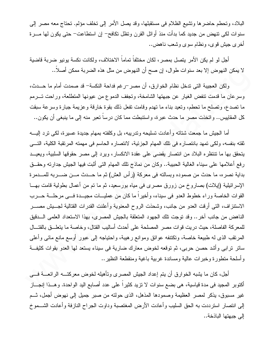البلاد، وتحطم حاضرها ونَشيع الظلام في مستقبلها، وقد يصل الأمر إلى نخلف مؤلم. نحتاج معه مصر إلى سنوات لكي نتهض من جديد كما بدأت منذ أوائل القرن ونظل نكافح– إن استطاعت– حتى يكون لمها مـــــرة أخرى جيش قوى، ونظام سوى وشعب ناهض..

أجل لو لم يكن الأمر يتصل بمصر ، لكان مختلفاً تماماً الاختلاف، ولكانت نكسة يونيو ضربة قاضية لا يمكن النهوض إلا بعد سنوات طوال، إن صح أن النهوض من مثل هذه الضربة ممكن أصلا..

ولكن العجيبة التي ندخل نظام الخوارق، أن مصر –رغم فداحة النكسة– قد صمدت أمام ما حـــدث، وسرعان ما قدمت نتفض الغيار عن جبهتها الشامخة، ونجفف الدموع من عيونها المنطلعة، وراحت تسرمم ما نصدع، ونصلح ما نحطم، ونعيد بناء ما نهدم وقامت نفعل ذلك بقوة خارقة وعزيمة جبارة وسرعة سبقت كل المقابيس.. واتخذت مصر ما حدث عبرة، واستنبطت مما كان درسا نعبر منه إلى ما ينبغي أن يكون..

أما الجيش ما جمعت شتاته وأعادت تسليحه وتدريبه، بل وكلفته بمهام جديدة عسيرة، لكي نرد إليــــه ثقته بنفسه، ولكي تمهد بانتصاره في تلك المهام الجزئية، لانتصاره الحاسم في مهمته المرتقبة الكلية، التسي يتحقق بها ما تنتظره البلاد من انتصار يقضي على عقدة الانكسار، ويرد إلى مصر حقوقها السلبية، ويعيــد رفع أعلامها على سيناء الغالية الحبيبة.. وكان من نماذج نلك المهام التي أثبت فيها الجيش جدارته وحقــق بداية نصره، ما حدث من صموده وبسالته في معركة (رأس العش) ثم ما حـــدث مـــن ضـــربه للمـــدمرة الإسرائيلية (إيلات) بصاروخ من زورق مصرى في مياه بورسعيد، ثم ما تم من أعمال بطولية قامت بهـــا القوات الخاصة وراء خطوط العدو في سيناء، وأخيراً ما كان من عمليــات مجيــدة فـــي مرحلـــة حـــرب الاستنزاف، التي أرقت العدو من جانب، وشحذت الروح المعنوية وأعلنت القدرات القتالية لجـــبش مصــــر الناهض من جانب آخر .. وقد نوجت نلك الجهود المتعلقة بالجيش المصرى، بهذا الاستعداد العلمي السدقيق للمعركة الفاصلة، حيث دريت قوات مصر المصلحة على أحدث أساليب القتال، وخاصة ما يتعلـــق بالقتــــال المرنقب الذي له طبيعة خاصة، ونكتنفه عوائق وموانع رهيبة، واحتياجه إلى عبور أوسع مانع مائي وأعلى ساتر نرابي وأشد حصن حربي، ثم توقعه لخوض معارك ضارية في سيناء يستعد لها العدو بقوات كثيفة و أسلحة منطورة وخبر ات عالية ومساندة غربية باغية ومنقطعة النظير ..

أجل، كان ما يشبه الخوارق أن يتم إعداد الجيش المصرى وتأهيله لخوض معركتـــه الرائعـــة فـــي أكتوبر المحيد في مدة فياسية، هي بضع سنوات لا نزيد كثيراً على عدد أصابع اليد الواحدة. وهــذا إنجـــاز غير مسبوق، يذكر لمصر العظيمة وصمودها المذهل، الذي حولته من صبر جميل إلى نهوض أجمل، ثــم إلى انتصار استرددت به الحق السليب وأعادت الأرض المغتصبة وداوت الجراح النازفة وأعادت الشـــموخ الى جبهتها الباذخة..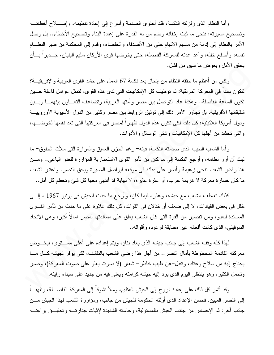وأما النظام الذي زلزلته النكسة، فقد أحتوى الصدمة وأسرع إلى إعادة تنظيمه، وإصــــلاح أخطائــــه وتصحيح مسيرته: فتحي ما ثبت إخفائه وضم من له القدرة على إعادة البناء وتصحيح الأخطاء.. بل وصل الأمر بالنظام إلى إدانة من مسهم الاتهام حتى من الأصدقاء والخلصاء، وقدم إلى المحكمة من طهر النظـــام نفسه، وأصلح خلله، وأعد عدنه للمعركة الفاصلة، حتى يخوضها قوى الأركان سليم البنيان، جـــديرا بـــأن يحقق الأمل ويعوض ما سبق من فشل.

وكان من أعظم ما حققه النظام من إنجاز بعد نكسة 67 العمل على حشد القوى العربية والإفريقيـــة؟ لنكون سندا في المعركة المرتقبة: ثم توظيف كل الإمكانيات التي لدى هذه القوى، لتمثل عوامل فاعلة حـــين نكون الساعة الفاصلة.. وهكذا عاد النواصل بين مصر وأمتها العربية، وتضاعف التعـــاون بينهمـــا وبـــين شقيقاتها الأفريقية، بل تجاوز الأمر ذلك إلى توثيق الروابط بين مصر وكثير من الدول الأسيوية الأوروبيـــة ودول أمريكا اللاتينية: كل ذلك لكي تكون هذه الدول ظهيراً لمصر في معركتها التي تعد نفسها لخوضــــها، و التي تحشد من أجلها كل الإمكانيات وشتى الوسائل والأدوات.

وأما الشعب الطيب الذي صدمته النكسة، فإنه– رغم الحزن العميق والمرارة التي ملأت الحلوق– ما لبث أن أزر نظامه، وأرجع النكسة إلى ما كان من نأمر القوى الاستعمارية المؤازرة للعدو الباغي.. ومـــن هنا رفض الشعب نتحي زعيمة وأصر على بقائه في موقعه ليواصل المسيرة ويحق النصر . واعتبر الشعب ما كان خسار ة معركة لا هزيمة حرب، أو عثر ة عابر ة، لا نهاية قد أنتهى معها كل شيئ وتحطم كل أمل..

كذلك نعاطف الشعب مع جيشه، وعذره فيما كان، وأرجع ما حدث للجيش في يونيو 1967 ، إلـــي خلل في بعض القيادات، لا إلى ضعف أو خذلان في القوات، كل ذلك علاوة على ما حدث من نأمر القـــوى المساندة للعدو، ومن نقصير من القوة التي كان الشعب يعلق على مساندتها لمصر أمالاً أكبر، وهي الاتحاد السوفيتي، الذي كانت أفعاله غير مطابقة لوعوده وأقواله..

لمهذا كله وقف الشعب إلى جانب جيشه الذي يعاد بناؤه وينم إعداده على أعلى مســـنوى، ليخــــوض معركته القادمة المحطوطة بآمال النصر .. من أجل هذا رضبي الشعب بالنقشف، لكي يوفر لجيشه كـــل مــــا يحتاج إليه من سلاح وعتاد، وتقبل–عن طيب خاطر− شعار (لا صوت يعلو على صوت المعركة)، وصبر وتحمل الكثير، وهو ينتظر اليوم الذي يرد إليه جيشه كرامته ويعلى فيه من جديد على سيناء رايته.

وقد أنْمر كل ذلك على إعادة الروح إلى الجيش العظيم، وملأ نتثىوقاً إلى المعركة الفاصـــــلة، ونلهفـــاً إلى النصر المبين. فحسن الإعداد الذي أولته الحكومة للجيش من جانب، ومؤازرة الشعب لهذا الجيش مـــن جانب آخر : ثم الإحساس من جانب الجيش بالمسئولية، وحاسته الشديدة لإثبات جدارتــــه وتحقيـــق بر اءتــــه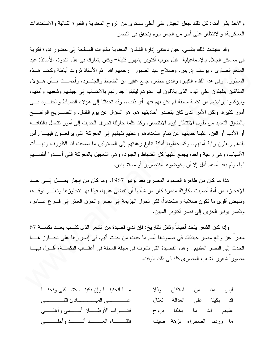والأخذ بثأر أمته: كل ذلك جعل الجيش على أعلى مستوى من الروح المعنوية والقدرة القتالية والاستعدادات العسكرية، والانتظار على أحر من الجمر ليوم يتحقق في النصر ..

وقد عايشت ذلك بنفسي، حين دعتني إدارة الشئون المعنوية بالقوات المسلحة إلى حضور ندوة فكرية في معسكر الجلاء بالإسماعيلية –قبل حرب أكتوبر بشهور قليلة– وكان بشارك في هذه الندوة، الأساتذة عبد المفعم الصاوى ، يوسف إدريس، وصلاح عبد الصبور – رحمهم الله– ثم الأستاذ نزوت أباظة وكاتب هـــذه السطور .. وفي هذا اللقاء الكبير، والذي حضره جمع غفير من الضباط والجنـــود، وأحســـت بـــأن هـــؤلاء المقاتلين بتلهفون علىي البوم الذي يلاقون فيه عدوهم ليثبتوا جدارتهم بالانتساب إلىي جيشهم وشعبهم وأمتهم، وليؤكدوا براءتهم من نكسة سابقة لم يكن لهم فيها أي ذنب.. وقد تحدثنا إلى هؤلاء الضباط والجنسود فسي أمور كثيرة، ولكن الأمر الذي كان يتصدر أحاديثهم هم، هو السؤال عن يوم القتال، والتصـــــريح الواضــــح بالضيق الشديد من طول الانتظار ليوم الانتصار . وكنا كلما حاولنا تحويل الحديث إلى أمور نتصل بالثقافة أو الأدب أو الفن، غلبنا حديثهم عن تمام استعدادهم وعظيم تلهفهم إلى المعركة التي يرفعـــون فيهــــا رأس بلدهم ويعلون راية أمتهم.. وكم حملونا أمانة تبليغ رغبتهم إلى المسئولين ما سمحت لنا الظروف وتهيسأت الأسباب، وهي رغبة واحدة يجمع عليها كل الضباط والجنود، وهي التعجيل بالمعركة التي أعــدوا أنفســـهم لمها، ولم يعد أماهم أمل إلا أن يخوضوها منتصرين أو مستشهدين.

هذا ما كان من ظاهرة الصمود المصرى بعد يونيو 1967، وما كان من إنجاز يصـــل إلـــي حـــد الإعجاز، من أمة أصيبت بكارثة مدمرة كان من شأنها أن تقضي عليها، فإذا بها تتجاوزها وتعلَّــو فوقـــه، ونتهض أقوى ما نكون صلابة واستعداداً، لكي تحول الهزيمة إلى نصر والحزن الغائر إلى فسرع غسامر، ونكسر بونيو الحزين إلى نصر أكتوبر المبين.

وإذا كان الشعر يتخذ أحيانا وثائق للناريخ: فإن لدي قصيدة من الشعر الذي كتـــب بعـــد نكســـة 67 معبراً عن واقع مصر حينذاك في صمودها أمام ما حدث من حدث أليم، في إصرارها على نجـــاوز هـــذا الحدث إلى النصر العظيم.. وهذه القصيدة التي نشرت في مجلة المجلة في أعقــاب النكســة، أقــول فيهـــا مصور! شعور الشعب المصري كله في ذلك الوقت.

| مسا انحنينسا وإن بكينسا كشسكلي ونحنسا                        |  | ليس منا من استكان وذلا     |  |
|--------------------------------------------------------------|--|----------------------------|--|
| علـــــــــــــــى المبــــــــــــــادئ فتلـــــــــــــــى |  | قد بكينا على العدالة تغتال |  |
|                                                              |  | عليهم الله ما بخلنا بروح   |  |
|                                                              |  | ما وردنا الصحراء نزهة صيف  |  |